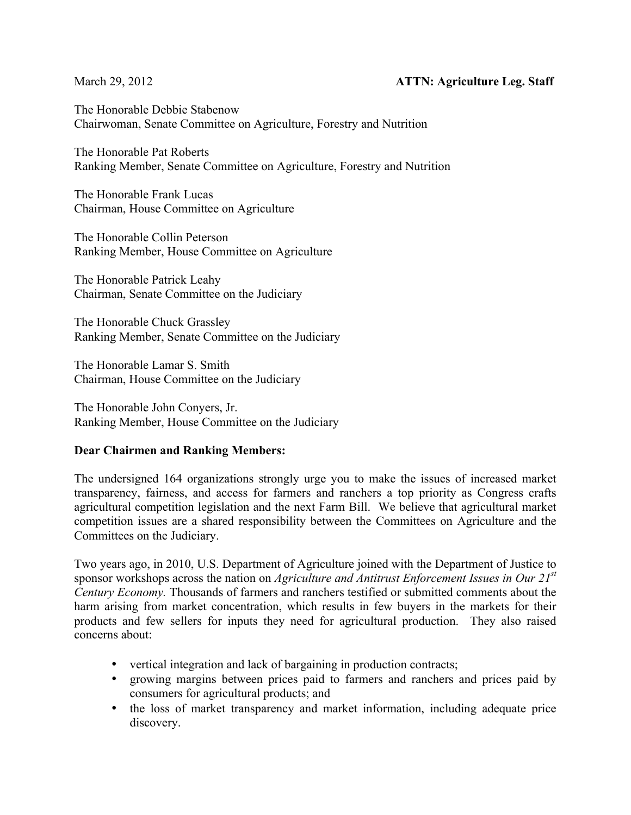The Honorable Debbie Stabenow Chairwoman, Senate Committee on Agriculture, Forestry and Nutrition

The Honorable Pat Roberts Ranking Member, Senate Committee on Agriculture, Forestry and Nutrition

The Honorable Frank Lucas Chairman, House Committee on Agriculture

The Honorable Collin Peterson Ranking Member, House Committee on Agriculture

The Honorable Patrick Leahy Chairman, Senate Committee on the Judiciary

The Honorable Chuck Grassley Ranking Member, Senate Committee on the Judiciary

The Honorable Lamar S. Smith Chairman, House Committee on the Judiciary

The Honorable John Conyers, Jr. Ranking Member, House Committee on the Judiciary

### **Dear Chairmen and Ranking Members:**

The undersigned 164 organizations strongly urge you to make the issues of increased market transparency, fairness, and access for farmers and ranchers a top priority as Congress crafts agricultural competition legislation and the next Farm Bill. We believe that agricultural market competition issues are a shared responsibility between the Committees on Agriculture and the Committees on the Judiciary.

Two years ago, in 2010, U.S. Department of Agriculture joined with the Department of Justice to sponsor workshops across the nation on *Agriculture and Antitrust Enforcement Issues in Our 21st Century Economy.* Thousands of farmers and ranchers testified or submitted comments about the harm arising from market concentration, which results in few buyers in the markets for their products and few sellers for inputs they need for agricultural production. They also raised concerns about:

- vertical integration and lack of bargaining in production contracts;
- growing margins between prices paid to farmers and ranchers and prices paid by consumers for agricultural products; and
- the loss of market transparency and market information, including adequate price discovery.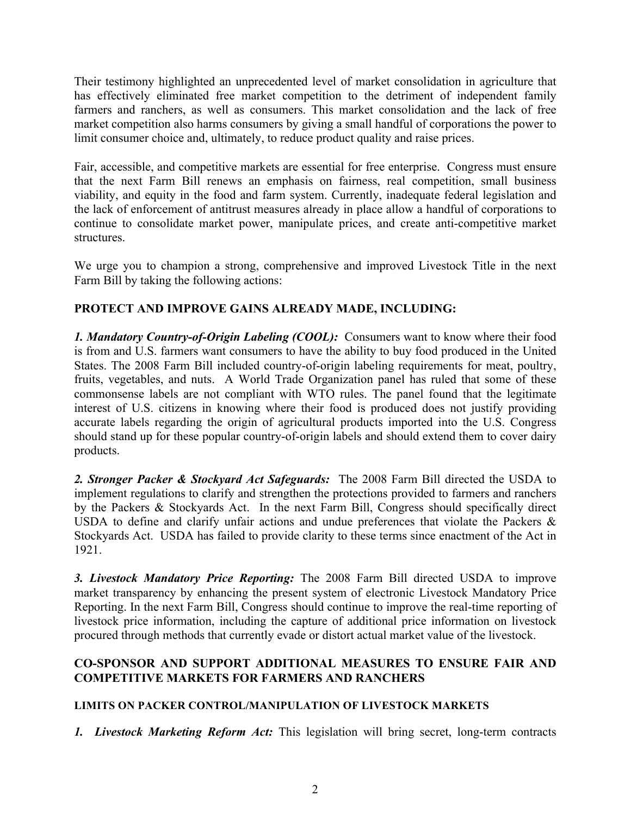Their testimony highlighted an unprecedented level of market consolidation in agriculture that has effectively eliminated free market competition to the detriment of independent family farmers and ranchers, as well as consumers. This market consolidation and the lack of free market competition also harms consumers by giving a small handful of corporations the power to limit consumer choice and, ultimately, to reduce product quality and raise prices.

Fair, accessible, and competitive markets are essential for free enterprise. Congress must ensure that the next Farm Bill renews an emphasis on fairness, real competition, small business viability, and equity in the food and farm system. Currently, inadequate federal legislation and the lack of enforcement of antitrust measures already in place allow a handful of corporations to continue to consolidate market power, manipulate prices, and create anti-competitive market structures.

We urge you to champion a strong, comprehensive and improved Livestock Title in the next Farm Bill by taking the following actions:

# **PROTECT AND IMPROVE GAINS ALREADY MADE, INCLUDING:**

*1. Mandatory Country-of-Origin Labeling (COOL):* Consumers want to know where their food is from and U.S. farmers want consumers to have the ability to buy food produced in the United States. The 2008 Farm Bill included country-of-origin labeling requirements for meat, poultry, fruits, vegetables, and nuts. A World Trade Organization panel has ruled that some of these commonsense labels are not compliant with WTO rules. The panel found that the legitimate interest of U.S. citizens in knowing where their food is produced does not justify providing accurate labels regarding the origin of agricultural products imported into the U.S. Congress should stand up for these popular country-of-origin labels and should extend them to cover dairy products.

*2. Stronger Packer & Stockyard Act Safeguards:* The 2008 Farm Bill directed the USDA to implement regulations to clarify and strengthen the protections provided to farmers and ranchers by the Packers & Stockyards Act. In the next Farm Bill, Congress should specifically direct USDA to define and clarify unfair actions and undue preferences that violate the Packers & Stockyards Act. USDA has failed to provide clarity to these terms since enactment of the Act in 1921.

*3. Livestock Mandatory Price Reporting:* The 2008 Farm Bill directed USDA to improve market transparency by enhancing the present system of electronic Livestock Mandatory Price Reporting. In the next Farm Bill, Congress should continue to improve the real-time reporting of livestock price information, including the capture of additional price information on livestock procured through methods that currently evade or distort actual market value of the livestock.

## **CO-SPONSOR AND SUPPORT ADDITIONAL MEASURES TO ENSURE FAIR AND COMPETITIVE MARKETS FOR FARMERS AND RANCHERS**

### **LIMITS ON PACKER CONTROL/MANIPULATION OF LIVESTOCK MARKETS**

*1. Livestock Marketing Reform Act:* This legislation will bring secret, long-term contracts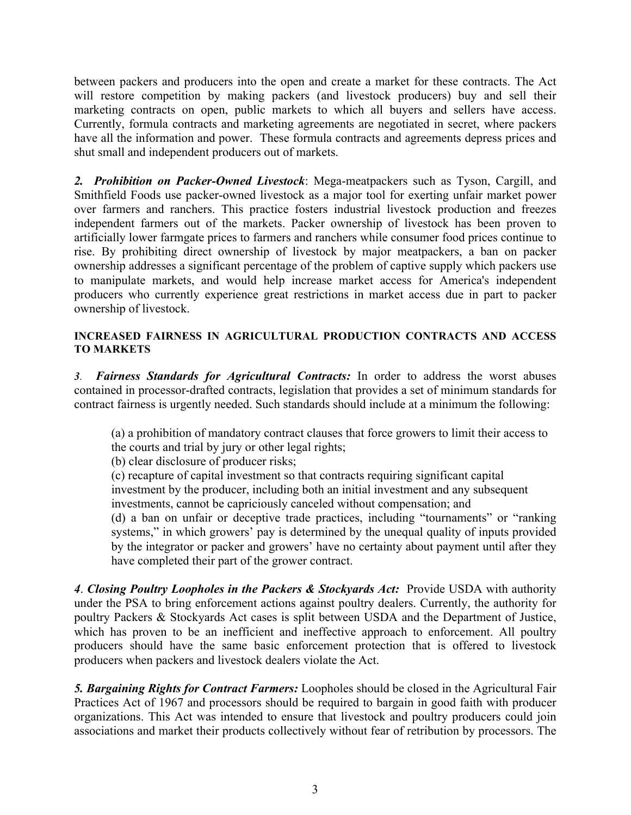between packers and producers into the open and create a market for these contracts. The Act will restore competition by making packers (and livestock producers) buy and sell their marketing contracts on open, public markets to which all buyers and sellers have access. Currently, formula contracts and marketing agreements are negotiated in secret, where packers have all the information and power. These formula contracts and agreements depress prices and shut small and independent producers out of markets.

*2. Prohibition on Packer-Owned Livestock*: Mega-meatpackers such as Tyson, Cargill, and Smithfield Foods use packer-owned livestock as a major tool for exerting unfair market power over farmers and ranchers. This practice fosters industrial livestock production and freezes independent farmers out of the markets. Packer ownership of livestock has been proven to artificially lower farmgate prices to farmers and ranchers while consumer food prices continue to rise. By prohibiting direct ownership of livestock by major meatpackers, a ban on packer ownership addresses a significant percentage of the problem of captive supply which packers use to manipulate markets, and would help increase market access for America's independent producers who currently experience great restrictions in market access due in part to packer ownership of livestock.

#### **INCREASED FAIRNESS IN AGRICULTURAL PRODUCTION CONTRACTS AND ACCESS TO MARKETS**

*3. Fairness Standards for Agricultural Contracts:* In order to address the worst abuses contained in processor-drafted contracts, legislation that provides a set of minimum standards for contract fairness is urgently needed. Such standards should include at a minimum the following:

(a) a prohibition of mandatory contract clauses that force growers to limit their access to the courts and trial by jury or other legal rights;

(b) clear disclosure of producer risks;

(c) recapture of capital investment so that contracts requiring significant capital investment by the producer, including both an initial investment and any subsequent investments, cannot be capriciously canceled without compensation; and

(d) a ban on unfair or deceptive trade practices, including "tournaments" or "ranking systems," in which growers' pay is determined by the unequal quality of inputs provided by the integrator or packer and growers' have no certainty about payment until after they have completed their part of the grower contract.

*4*. *Closing Poultry Loopholes in the Packers & Stockyards Act:* Provide USDA with authority under the PSA to bring enforcement actions against poultry dealers. Currently, the authority for poultry Packers & Stockyards Act cases is split between USDA and the Department of Justice, which has proven to be an inefficient and ineffective approach to enforcement. All poultry producers should have the same basic enforcement protection that is offered to livestock producers when packers and livestock dealers violate the Act.

*5. Bargaining Rights for Contract Farmers:* Loopholes should be closed in the Agricultural Fair Practices Act of 1967 and processors should be required to bargain in good faith with producer organizations. This Act was intended to ensure that livestock and poultry producers could join associations and market their products collectively without fear of retribution by processors. The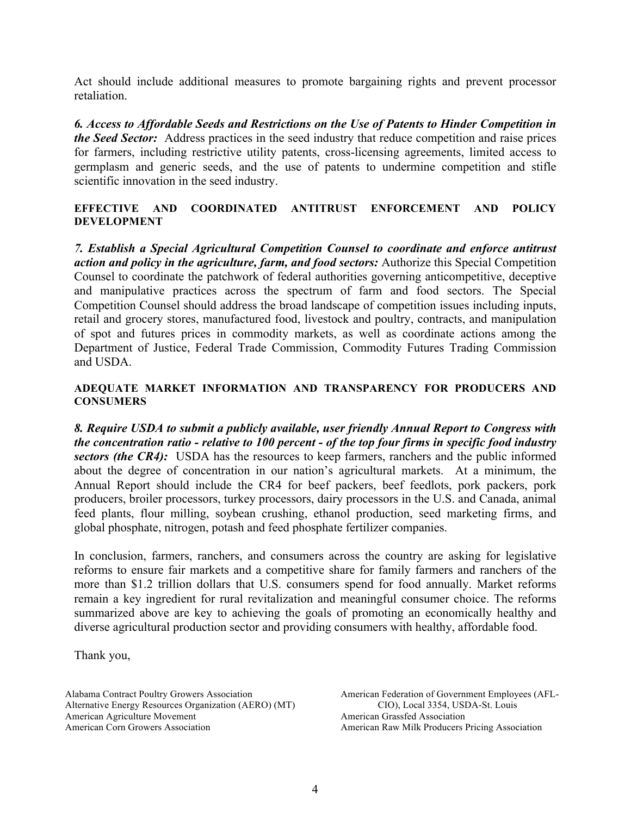Act should include additional measures to promote bargaining rights and prevent processor retaliation.

*6. Access to Affordable Seeds and Restrictions on the Use of Patents to Hinder Competition in the Seed Sector:*Address practices in the seed industry that reduce competition and raise prices for farmers, including restrictive utility patents, cross-licensing agreements, limited access to germplasm and generic seeds, and the use of patents to undermine competition and stifle scientific innovation in the seed industry.

#### **EFFECTIVE AND COORDINATED ANTITRUST ENFORCEMENT AND POLICY DEVELOPMENT**

*7. Establish a Special Agricultural Competition Counsel to coordinate and enforce antitrust action and policy in the agriculture, farm, and food sectors:* Authorize this Special Competition Counsel to coordinate the patchwork of federal authorities governing anticompetitive, deceptive and manipulative practices across the spectrum of farm and food sectors. The Special Competition Counsel should address the broad landscape of competition issues including inputs, retail and grocery stores, manufactured food, livestock and poultry, contracts, and manipulation of spot and futures prices in commodity markets, as well as coordinate actions among the Department of Justice, Federal Trade Commission, Commodity Futures Trading Commission and USDA.

#### **ADEQUATE MARKET INFORMATION AND TRANSPARENCY FOR PRODUCERS AND CONSUMERS**

*8. Require USDA to submit a publicly available, user friendly Annual Report to Congress with the concentration ratio - relative to 100 percent - of the top four firms in specific food industry sectors (the CR4)*: USDA has the resources to keep farmers, ranchers and the public informed about the degree of concentration in our nation's agricultural markets. At a minimum, the Annual Report should include the CR4 for beef packers, beef feedlots, pork packers, pork producers, broiler processors, turkey processors, dairy processors in the U.S. and Canada, animal feed plants, flour milling, soybean crushing, ethanol production, seed marketing firms, and global phosphate, nitrogen, potash and feed phosphate fertilizer companies.

In conclusion, farmers, ranchers, and consumers across the country are asking for legislative reforms to ensure fair markets and a competitive share for family farmers and ranchers of the more than \$1.2 trillion dollars that U.S. consumers spend for food annually. Market reforms remain a key ingredient for rural revitalization and meaningful consumer choice. The reforms summarized above are key to achieving the goals of promoting an economically healthy and diverse agricultural production sector and providing consumers with healthy, affordable food.

Thank you,

Alabama Contract Poultry Growers Association Alternative Energy Resources Organization (AERO) (MT) American Agriculture Movement American Corn Growers Association

American Federation of Government Employees (AFL-CIO), Local 3354, USDA-St. Louis American Grassfed Association American Raw Milk Producers Pricing Association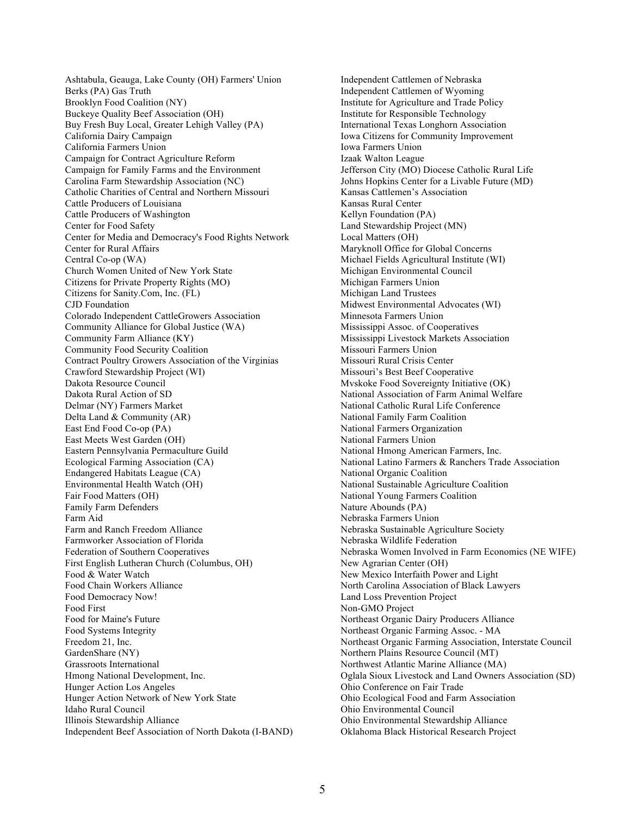Ashtabula, Geauga, Lake County (OH) Farmers' Union Berks (PA) Gas Truth Brooklyn Food Coalition (NY) Buckeye Quality Beef Association (OH) Buy Fresh Buy Local, Greater Lehigh Valley (PA) California Dairy Campaign California Farmers Union Campaign for Contract Agriculture Reform Campaign for Family Farms and the Environment Carolina Farm Stewardship Association (NC) Catholic Charities of Central and Northern Missouri Cattle Producers of Louisiana Cattle Producers of Washington Center for Food Safety Center for Media and Democracy's Food Rights Network Center for Rural Affairs Central Co-op (WA) Church Women United of New York State Citizens for Private Property Rights (MO) Citizens for Sanity.Com, Inc. (FL) CJD Foundation Colorado Independent CattleGrowers Association Community Alliance for Global Justice (WA) Community Farm Alliance (KY) Community Food Security Coalition Contract Poultry Growers Association of the Virginias Crawford Stewardship Project (WI) Dakota Resource Council Dakota Rural Action of SD Delmar (NY) Farmers Market Delta Land & Community (AR) East End Food Co-op (PA) East Meets West Garden (OH) Eastern Pennsylvania Permaculture Guild Ecological Farming Association (CA) Endangered Habitats League (CA) Environmental Health Watch (OH) Fair Food Matters (OH) Family Farm Defenders Farm Aid Farm and Ranch Freedom Alliance Farmworker Association of Florida Federation of Southern Cooperatives First English Lutheran Church (Columbus, OH) Food & Water Watch Food Chain Workers Alliance Food Democracy Now! Food First Food for Maine's Future Food Systems Integrity Freedom 21, Inc. GardenShare (NY) Grassroots International Hmong National Development, Inc. Hunger Action Los Angeles Hunger Action Network of New York State Idaho Rural Council Illinois Stewardship Alliance Independent Beef Association of North Dakota (I-BAND) Independent Cattlemen of Nebraska Independent Cattlemen of Wyoming Institute for Agriculture and Trade Policy Institute for Responsible Technology International Texas Longhorn Association Iowa Citizens for Community Improvement Iowa Farmers Union Izaak Walton League Jefferson City (MO) Diocese Catholic Rural Life Johns Hopkins Center for a Livable Future (MD) Kansas Cattlemen's Association Kansas Rural Center Kellyn Foundation (PA) Land Stewardship Project (MN) Local Matters (OH) Maryknoll Office for Global Concerns Michael Fields Agricultural Institute (WI) Michigan Environmental Council Michigan Farmers Union Michigan Land Trustees Midwest Environmental Advocates (WI) Minnesota Farmers Union Mississippi Assoc. of Cooperatives Mississippi Livestock Markets Association Missouri Farmers Union Missouri Rural Crisis Center Missouri's Best Beef Cooperative Mvskoke Food Sovereignty Initiative (OK) National Association of Farm Animal Welfare National Catholic Rural Life Conference National Family Farm Coalition National Farmers Organization National Farmers Union National Hmong American Farmers, Inc. National Latino Farmers & Ranchers Trade Association National Organic Coalition National Sustainable Agriculture Coalition National Young Farmers Coalition Nature Abounds (PA) Nebraska Farmers Union Nebraska Sustainable Agriculture Society Nebraska Wildlife Federation Nebraska Women Involved in Farm Economics (NE WIFE) New Agrarian Center (OH) New Mexico Interfaith Power and Light North Carolina Association of Black Lawyers Land Loss Prevention Project Non-GMO Project Northeast Organic Dairy Producers Alliance Northeast Organic Farming Assoc. - MA Northeast Organic Farming Association, Interstate Council Northern Plains Resource Council (MT) Northwest Atlantic Marine Alliance (MA) Oglala Sioux Livestock and Land Owners Association (SD) Ohio Conference on Fair Trade Ohio Ecological Food and Farm Association Ohio Environmental Council Ohio Environmental Stewardship Alliance Oklahoma Black Historical Research Project